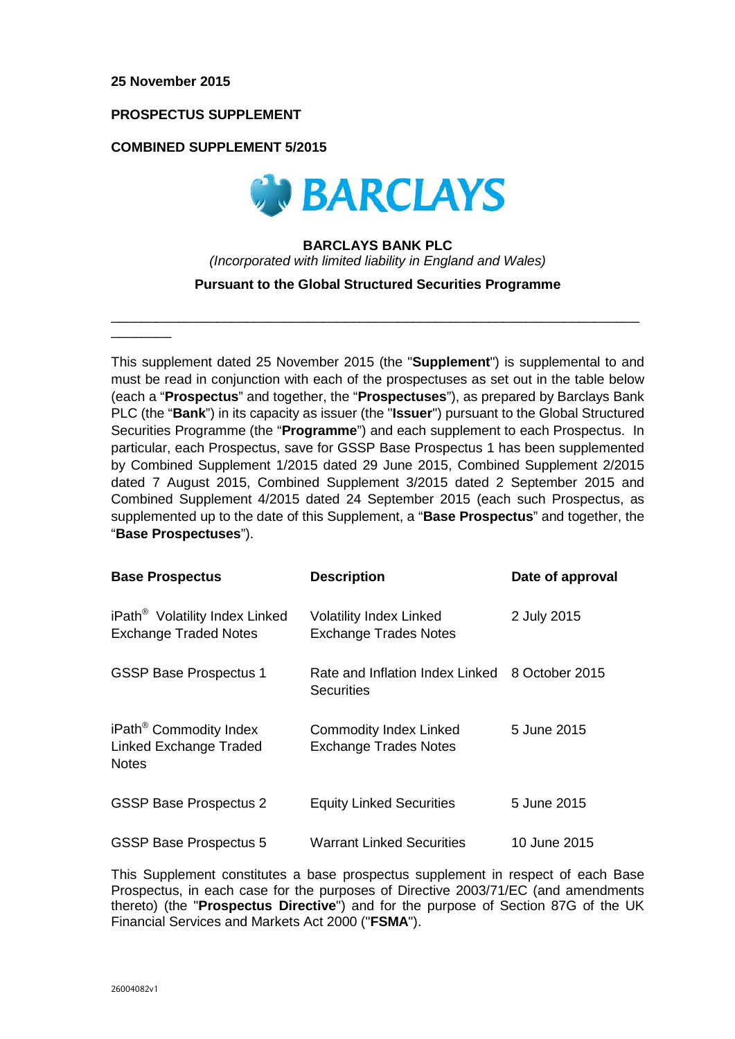$\overline{\phantom{a}}$ 

## **PROSPECTUS SUPPLEMENT**

## **COMBINED SUPPLEMENT 5/2015**



# **BARCLAYS BANK PLC**  *(Incorporated with limited liability in England and Wales)*

**Pursuant to the Global Structured Securities Programme**

\_\_\_\_\_\_\_\_\_\_\_\_\_\_\_\_\_\_\_\_\_\_\_\_\_\_\_\_\_\_\_\_\_\_\_\_\_\_\_\_\_\_\_\_\_\_\_\_\_\_\_\_\_\_\_\_\_\_\_\_\_\_\_\_\_\_\_\_\_\_

This supplement dated 25 November 2015 (the "**Supplement**") is supplemental to and must be read in conjunction with each of the prospectuses as set out in the table below (each a "**Prospectus**" and together, the "**Prospectuses**"), as prepared by Barclays Bank PLC (the "**Bank**") in its capacity as issuer (the "**Issuer**") pursuant to the Global Structured Securities Programme (the "**Programme**") and each supplement to each Prospectus. In particular, each Prospectus, save for GSSP Base Prospectus 1 has been supplemented by Combined Supplement 1/2015 dated 29 June 2015, Combined Supplement 2/2015 dated 7 August 2015, Combined Supplement 3/2015 dated 2 September 2015 and Combined Supplement 4/2015 dated 24 September 2015 (each such Prospectus, as supplemented up to the date of this Supplement, a "**Base Prospectus**" and together, the "**Base Prospectuses**").

| <b>Base Prospectus</b>                                                       | <b>Description</b>                                                  | Date of approval |
|------------------------------------------------------------------------------|---------------------------------------------------------------------|------------------|
| iPath <sup>®</sup> Volatility Index Linked<br><b>Exchange Traded Notes</b>   | <b>Volatility Index Linked</b><br><b>Exchange Trades Notes</b>      | 2 July 2015      |
| <b>GSSP Base Prospectus 1</b>                                                | Rate and Inflation Index Linked 8 October 2015<br><b>Securities</b> |                  |
| iPath <sup>®</sup> Commodity Index<br>Linked Exchange Traded<br><b>Notes</b> | <b>Commodity Index Linked</b><br><b>Exchange Trades Notes</b>       | 5 June 2015      |
| <b>GSSP Base Prospectus 2</b>                                                | <b>Equity Linked Securities</b>                                     | 5 June 2015      |
| <b>GSSP Base Prospectus 5</b>                                                | <b>Warrant Linked Securities</b>                                    | 10 June 2015     |

This Supplement constitutes a base prospectus supplement in respect of each Base Prospectus, in each case for the purposes of Directive 2003/71/EC (and amendments thereto) (the "**Prospectus Directive**") and for the purpose of Section 87G of the UK Financial Services and Markets Act 2000 ("**FSMA**").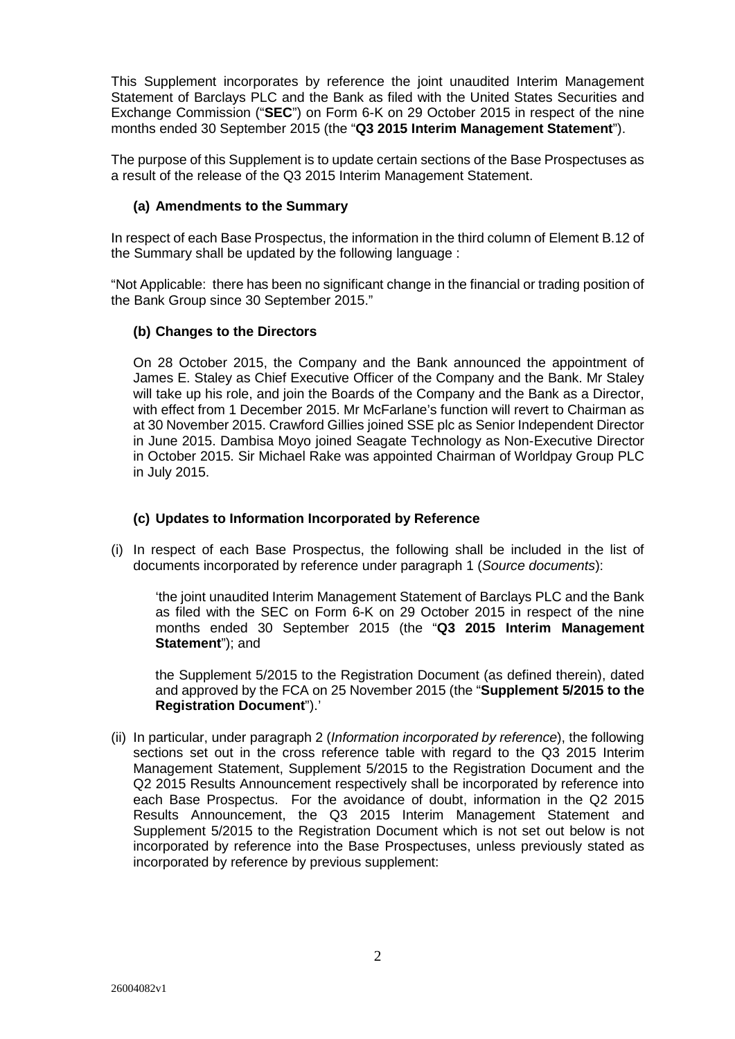This Supplement incorporates by reference the joint unaudited Interim Management Statement of Barclays PLC and the Bank as filed with the United States Securities and Exchange Commission ("**SEC**") on Form 6-K on 29 October 2015 in respect of the nine months ended 30 September 2015 (the "**Q3 2015 Interim Management Statement**").

The purpose of this Supplement is to update certain sections of the Base Prospectuses as a result of the release of the Q3 2015 Interim Management Statement.

## **(a) Amendments to the Summary**

In respect of each Base Prospectus, the information in the third column of Element B.12 of the Summary shall be updated by the following language :

"Not Applicable: there has been no significant change in the financial or trading position of the Bank Group since 30 September 2015."

## **(b) Changes to the Directors**

On 28 October 2015, the Company and the Bank announced the appointment of James E. Staley as Chief Executive Officer of the Company and the Bank. Mr Staley will take up his role, and join the Boards of the Company and the Bank as a Director, with effect from 1 December 2015. Mr McFarlane's function will revert to Chairman as at 30 November 2015. Crawford Gillies joined SSE plc as Senior Independent Director in June 2015. Dambisa Moyo joined Seagate Technology as Non-Executive Director in October 2015. Sir Michael Rake was appointed Chairman of Worldpay Group PLC in July 2015.

#### **(c) Updates to Information Incorporated by Reference**

(i) In respect of each Base Prospectus, the following shall be included in the list of documents incorporated by reference under paragraph 1 (*Source documents*):

'the joint unaudited Interim Management Statement of Barclays PLC and the Bank as filed with the SEC on Form 6-K on 29 October 2015 in respect of the nine months ended 30 September 2015 (the "**Q3 2015 Interim Management Statement**"); and

the Supplement 5/2015 to the Registration Document (as defined therein), dated and approved by the FCA on 25 November 2015 (the "**Supplement 5/2015 to the Registration Document**").'

(ii) In particular, under paragraph 2 (*Information incorporated by reference*), the following sections set out in the cross reference table with regard to the Q3 2015 Interim Management Statement, Supplement 5/2015 to the Registration Document and the Q2 2015 Results Announcement respectively shall be incorporated by reference into each Base Prospectus. For the avoidance of doubt, information in the Q2 2015 Results Announcement, the Q3 2015 Interim Management Statement and Supplement 5/2015 to the Registration Document which is not set out below is not incorporated by reference into the Base Prospectuses, unless previously stated as incorporated by reference by previous supplement: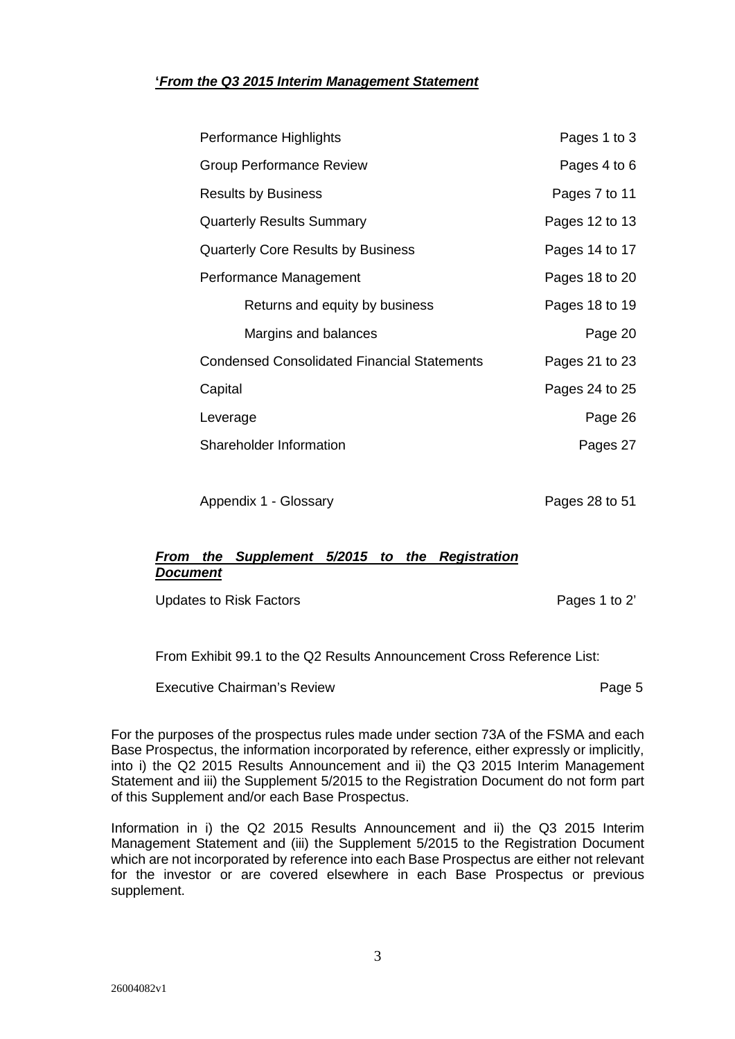# **'***From the Q3 2015 Interim Management Statement*

| Performance Highlights                             | Pages 1 to 3   |
|----------------------------------------------------|----------------|
| <b>Group Performance Review</b>                    | Pages 4 to 6   |
| <b>Results by Business</b>                         | Pages 7 to 11  |
| <b>Quarterly Results Summary</b>                   | Pages 12 to 13 |
| <b>Quarterly Core Results by Business</b>          | Pages 14 to 17 |
| Performance Management                             | Pages 18 to 20 |
| Returns and equity by business                     | Pages 18 to 19 |
| Margins and balances                               | Page 20        |
| <b>Condensed Consolidated Financial Statements</b> | Pages 21 to 23 |
| Capital                                            | Pages 24 to 25 |
| Leverage                                           | Page 26        |
| Shareholder Information                            | Pages 27       |
|                                                    |                |

Appendix 1 - Glossary **Pages 28 to 51** 

# *From the Supplement 5/2015 to the Registration Document*

Updates to Risk Factors **Pages 1** to 2'

From Exhibit 99.1 to the Q2 Results Announcement Cross Reference List:

Executive Chairman's Review **Page 1 Executive Chairman's Review** 

For the purposes of the prospectus rules made under section 73A of the FSMA and each Base Prospectus, the information incorporated by reference, either expressly or implicitly, into i) the Q2 2015 Results Announcement and ii) the Q3 2015 Interim Management Statement and iii) the Supplement 5/2015 to the Registration Document do not form part of this Supplement and/or each Base Prospectus.

Information in i) the Q2 2015 Results Announcement and ii) the Q3 2015 Interim Management Statement and (iii) the Supplement 5/2015 to the Registration Document which are not incorporated by reference into each Base Prospectus are either not relevant for the investor or are covered elsewhere in each Base Prospectus or previous supplement.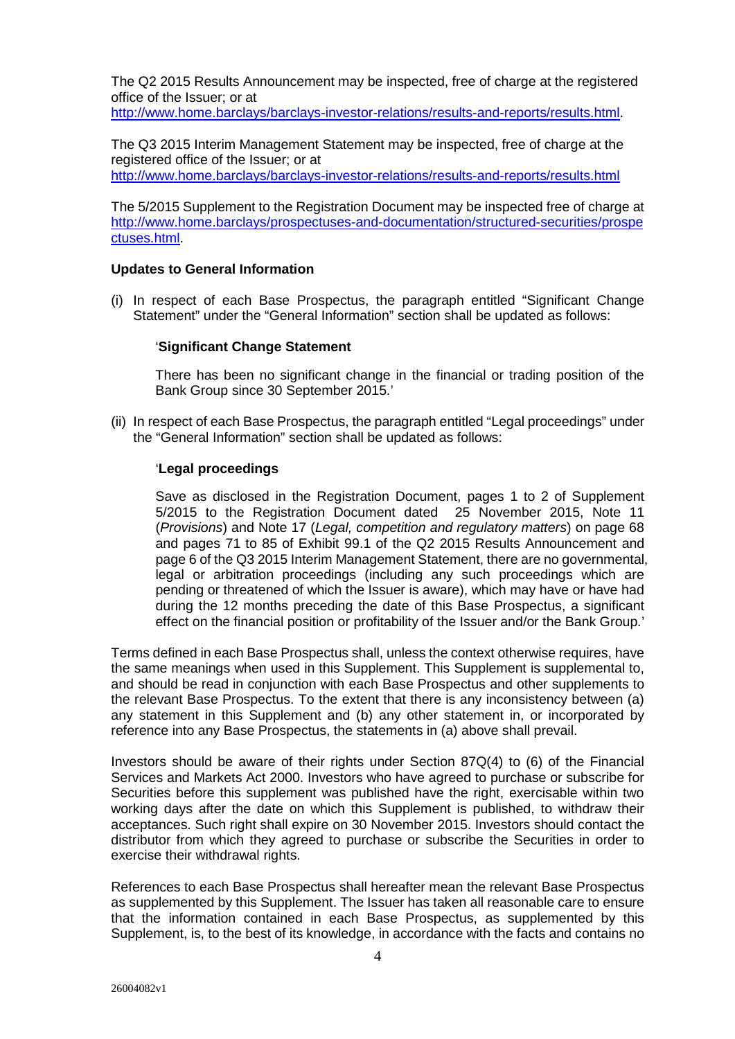The Q2 2015 Results Announcement may be inspected, free of charge at the registered office of the Issuer; or at

http://www.home.barclays/barclays-investor-relations/results-and-reports/results.html.

The Q3 2015 Interim Management Statement may be inspected, free of charge at the registered office of the Issuer; or at

http://www.home.barclays/barclays-investor-relations/results-and-reports/results.html

The 5/2015 Supplement to the Registration Document may be inspected free of charge at http://www.home.barclays/prospectuses-and-documentation/structured-securities/prospe ctuses.html.

## **Updates to General Information**

(i) In respect of each Base Prospectus, the paragraph entitled "Significant Change Statement" under the "General Information" section shall be updated as follows:

## '**Significant Change Statement**

There has been no significant change in the financial or trading position of the Bank Group since 30 September 2015.'

(ii) In respect of each Base Prospectus, the paragraph entitled "Legal proceedings" under the "General Information" section shall be updated as follows:

## '**Legal proceedings**

Save as disclosed in the Registration Document, pages 1 to 2 of Supplement 5/2015 to the Registration Document dated 25 November 2015, Note 11 (*Provisions*) and Note 17 (*Legal, competition and regulatory matters*) on page 68 and pages 71 to 85 of Exhibit 99.1 of the Q2 2015 Results Announcement and page 6 of the Q3 2015 Interim Management Statement, there are no governmental, legal or arbitration proceedings (including any such proceedings which are pending or threatened of which the Issuer is aware), which may have or have had during the 12 months preceding the date of this Base Prospectus, a significant effect on the financial position or profitability of the Issuer and/or the Bank Group.'

Terms defined in each Base Prospectus shall, unless the context otherwise requires, have the same meanings when used in this Supplement. This Supplement is supplemental to, and should be read in conjunction with each Base Prospectus and other supplements to the relevant Base Prospectus. To the extent that there is any inconsistency between (a) any statement in this Supplement and (b) any other statement in, or incorporated by reference into any Base Prospectus, the statements in (a) above shall prevail.

Investors should be aware of their rights under Section 87Q(4) to (6) of the Financial Services and Markets Act 2000. Investors who have agreed to purchase or subscribe for Securities before this supplement was published have the right, exercisable within two working days after the date on which this Supplement is published, to withdraw their acceptances. Such right shall expire on 30 November 2015. Investors should contact the distributor from which they agreed to purchase or subscribe the Securities in order to exercise their withdrawal rights.

References to each Base Prospectus shall hereafter mean the relevant Base Prospectus as supplemented by this Supplement. The Issuer has taken all reasonable care to ensure that the information contained in each Base Prospectus, as supplemented by this Supplement, is, to the best of its knowledge, in accordance with the facts and contains no